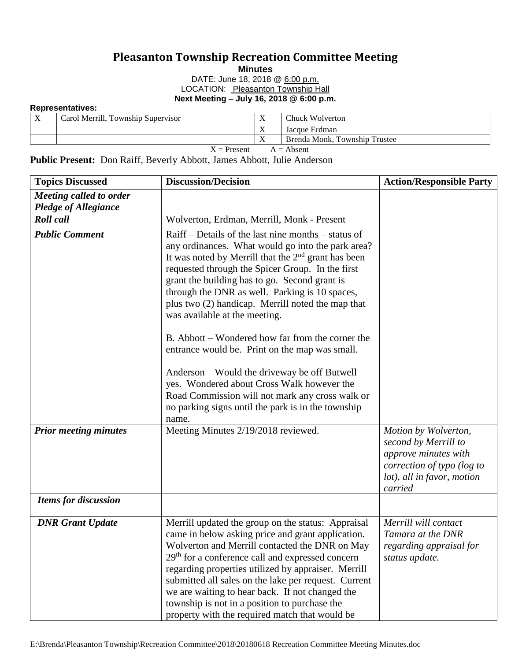## **Pleasanton Township Recreation Committee Meeting**

**Minutes**

DATE: June 18, 2018 @ 6:00 p.m. LOCATION: Pleasanton Township Hall **Next Meeting – July 16, 2018 @ 6:00 p.m.**

**Representatives:**

| X | Carol Merrill, Township Supervisor | $\mathbf{v}$<br>∡ | Chuck Wolverton               |
|---|------------------------------------|-------------------|-------------------------------|
|   |                                    | $\mathbf{v}$      | Jacque Erdman                 |
|   |                                    | $\mathbf{v}$      | Brenda Monk, Township Trustee |
|   | $X =$ Present<br>$A =$ Absent      |                   |                               |

**Public Present:** Don Raiff, Beverly Abbott, James Abbott, Julie Anderson

| <b>Topics Discussed</b>      | <b>Discussion/Decision</b>                                                                                                                                                                                                                                                                                                                                                                                                                                                                                                                                                                                                                                                                                                             | <b>Action/Responsible Party</b>                                                                                                             |
|------------------------------|----------------------------------------------------------------------------------------------------------------------------------------------------------------------------------------------------------------------------------------------------------------------------------------------------------------------------------------------------------------------------------------------------------------------------------------------------------------------------------------------------------------------------------------------------------------------------------------------------------------------------------------------------------------------------------------------------------------------------------------|---------------------------------------------------------------------------------------------------------------------------------------------|
| Meeting called to order      |                                                                                                                                                                                                                                                                                                                                                                                                                                                                                                                                                                                                                                                                                                                                        |                                                                                                                                             |
| <b>Pledge of Allegiance</b>  |                                                                                                                                                                                                                                                                                                                                                                                                                                                                                                                                                                                                                                                                                                                                        |                                                                                                                                             |
| <b>Roll</b> call             | Wolverton, Erdman, Merrill, Monk - Present                                                                                                                                                                                                                                                                                                                                                                                                                                                                                                                                                                                                                                                                                             |                                                                                                                                             |
| <b>Public Comment</b>        | Raiff – Details of the last nine months – status of<br>any ordinances. What would go into the park area?<br>It was noted by Merrill that the $2nd$ grant has been<br>requested through the Spicer Group. In the first<br>grant the building has to go. Second grant is<br>through the DNR as well. Parking is 10 spaces,<br>plus two (2) handicap. Merrill noted the map that<br>was available at the meeting.<br>B. Abbott – Wondered how far from the corner the<br>entrance would be. Print on the map was small.<br>Anderson – Would the driveway be off Butwell –<br>yes. Wondered about Cross Walk however the<br>Road Commission will not mark any cross walk or<br>no parking signs until the park is in the township<br>name. |                                                                                                                                             |
| <b>Prior meeting minutes</b> | Meeting Minutes 2/19/2018 reviewed.                                                                                                                                                                                                                                                                                                                                                                                                                                                                                                                                                                                                                                                                                                    | Motion by Wolverton,<br>second by Merrill to<br>approve minutes with<br>correction of typo (log to<br>lot), all in favor, motion<br>carried |
| <b>Items for discussion</b>  |                                                                                                                                                                                                                                                                                                                                                                                                                                                                                                                                                                                                                                                                                                                                        |                                                                                                                                             |
| <b>DNR Grant Update</b>      | Merrill updated the group on the status: Appraisal<br>came in below asking price and grant application.<br>Wolverton and Merrill contacted the DNR on May<br>29 <sup>th</sup> for a conference call and expressed concern<br>regarding properties utilized by appraiser. Merrill<br>submitted all sales on the lake per request. Current<br>we are waiting to hear back. If not changed the<br>township is not in a position to purchase the<br>property with the required match that would be                                                                                                                                                                                                                                         | Merrill will contact<br>Tamara at the DNR<br>regarding appraisal for<br>status update.                                                      |